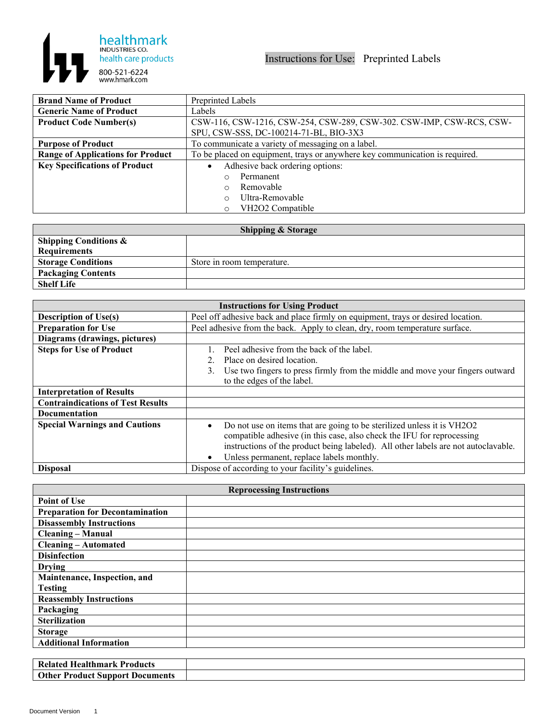

| <b>Brand Name of Product</b>             | Preprinted Labels                                                           |
|------------------------------------------|-----------------------------------------------------------------------------|
| <b>Generic Name of Product</b>           | Labels                                                                      |
| <b>Product Code Number(s)</b>            | CSW-116, CSW-1216, CSW-254, CSW-289, CSW-302. CSW-IMP, CSW-RCS, CSW-        |
|                                          | SPU, CSW-SSS, DC-100214-71-BL, BIO-3X3                                      |
| <b>Purpose of Product</b>                | To communicate a variety of messaging on a label.                           |
| <b>Range of Applications for Product</b> | To be placed on equipment, trays or anywhere key communication is required. |
| <b>Key Specifications of Product</b>     | Adhesive back ordering options:                                             |
|                                          | Permanent                                                                   |
|                                          | Removable<br>$\bigcap$                                                      |
|                                          | Ultra-Removable                                                             |
|                                          | VH2O2 Compatible<br>∩                                                       |

| <b>Shipping &amp; Storage</b>    |                            |  |
|----------------------------------|----------------------------|--|
| <b>Shipping Conditions &amp;</b> |                            |  |
| <b>Requirements</b>              |                            |  |
| <b>Storage Conditions</b>        | Store in room temperature. |  |
| <b>Packaging Contents</b>        |                            |  |
| <b>Shelf Life</b>                |                            |  |

| <b>Instructions for Using Product</b>    |                                                                                                                                                                                                                                                                                     |
|------------------------------------------|-------------------------------------------------------------------------------------------------------------------------------------------------------------------------------------------------------------------------------------------------------------------------------------|
| <b>Description of Use(s)</b>             | Peel off adhesive back and place firmly on equipment, trays or desired location.                                                                                                                                                                                                    |
| <b>Preparation for Use</b>               | Peel adhesive from the back. Apply to clean, dry, room temperature surface.                                                                                                                                                                                                         |
| Diagrams (drawings, pictures)            |                                                                                                                                                                                                                                                                                     |
| <b>Steps for Use of Product</b>          | Peel adhesive from the back of the label.                                                                                                                                                                                                                                           |
|                                          | Place on desired location.                                                                                                                                                                                                                                                          |
|                                          | Use two fingers to press firmly from the middle and move your fingers outward<br>3.                                                                                                                                                                                                 |
|                                          | to the edges of the label.                                                                                                                                                                                                                                                          |
| <b>Interpretation of Results</b>         |                                                                                                                                                                                                                                                                                     |
| <b>Contraindications of Test Results</b> |                                                                                                                                                                                                                                                                                     |
| <b>Documentation</b>                     |                                                                                                                                                                                                                                                                                     |
| <b>Special Warnings and Cautions</b>     | Do not use on items that are going to be sterilized unless it is VH2O2<br>compatible adhesive (in this case, also check the IFU for reprocessing<br>instructions of the product being labeled). All other labels are not autoclavable.<br>Unless permanent, replace labels monthly. |
| <b>Disposal</b>                          | Dispose of according to your facility's guidelines.                                                                                                                                                                                                                                 |

| <b>Reprocessing Instructions</b>       |  |  |
|----------------------------------------|--|--|
| <b>Point of Use</b>                    |  |  |
| <b>Preparation for Decontamination</b> |  |  |
| <b>Disassembly Instructions</b>        |  |  |
| <b>Cleaning - Manual</b>               |  |  |
| <b>Cleaning - Automated</b>            |  |  |
| <b>Disinfection</b>                    |  |  |
| <b>Drying</b>                          |  |  |
| Maintenance, Inspection, and           |  |  |
| <b>Testing</b>                         |  |  |
| <b>Reassembly Instructions</b>         |  |  |
| Packaging                              |  |  |
| <b>Sterilization</b>                   |  |  |
| <b>Storage</b>                         |  |  |
| <b>Additional Information</b>          |  |  |
|                                        |  |  |

| -Healtr<br>Products<br>ımark<br>--              |  |
|-------------------------------------------------|--|
| $O$ ther<br>Product Support<br>Docum<br>cuments |  |